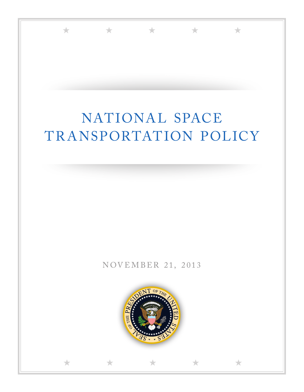

★ ★ ★ ★ ★

★ ★ ★ ★ ★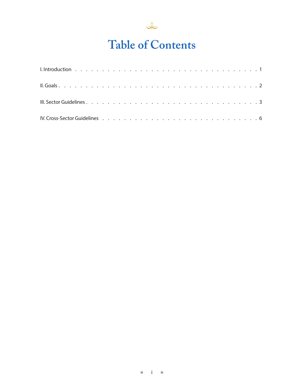

## **Table of Contents**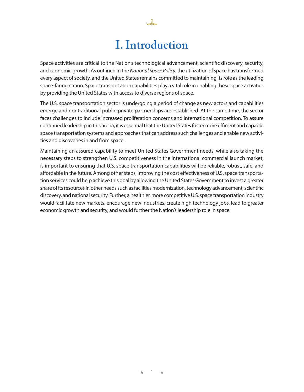### **I. Introduction**

رحلها

Space activities are critical to the Nation's technological advancement, scientific discovery, security, and economic growth. As outlined in the *National Space Policy*, the utilization of space has transformed every aspect of society, and the United States remains committed to maintaining its role as the leading space-faring nation. Space transportation capabilities play a vital role in enabling these space activities by providing the United States with access to diverse regions of space.

The U.S. space transportation sector is undergoing a period of change as new actors and capabilities emerge and nontraditional public-private partnerships are established. At the same time, the sector faces challenges to include increased proliferation concerns and international competition. To assure continued leadership in this arena, it is essential that the United States foster more efficient and capable space transportation systems and approaches that can address such challenges and enable new activities and discoveries in and from space.

Maintaining an assured capability to meet United States Government needs, while also taking the necessary steps to strengthen U.S. competitiveness in the international commercial launch market, is important to ensuring that U.S. space transportation capabilities will be reliable, robust, safe, and affordable in the future. Among other steps, improving the cost effectiveness of U.S. space transportation services could help achieve this goal by allowing the United States Government to invest a greater share of its resources in other needs such as facilities modernization, technology advancement, scientific discovery, and national security. Further, a healthier, more competitive U.S. space transportation industry would facilitate new markets, encourage new industries, create high technology jobs, lead to greater economic growth and security, and would further the Nation's leadership role in space.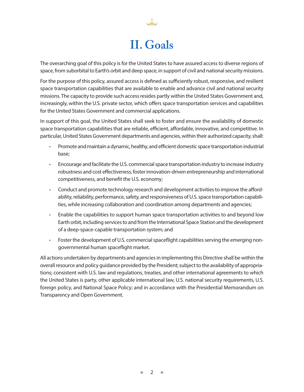# **II. Goals**

The overarching goal of this policy is for the United States to have assured access to diverse regions of space, from suborbital to Earth's orbit and deep space, in support of civil and national security missions.

For the purpose of this policy, assured access is defined as sufficiently robust, responsive, and resilient space transportation capabilities that are available to enable and advance civil and national security missions. The capacity to provide such access resides partly within the United States Government and, increasingly, within the U.S. private sector, which offers space transportation services and capabilities for the United States Government and commercial applications.

In support of this goal, the United States shall seek to foster and ensure the availability of domestic space transportation capabilities that are reliable, efficient, affordable, innovative, and competitive. In particular, United States Government departments and agencies, within their authorized capacity, shall:

- Promote and maintain a dynamic, healthy, and efficient domestic space transportation industrial base;
- Encourage and facilitate the U.S. commercial space transportation industry to increase industry robustness and cost effectiveness, foster innovation-driven entrepreneurship and international competitiveness, and benefit the U.S. economy;
- Conduct and promote technology research and development activities to improve the affordability, reliability, performance, safety, and responsiveness of U.S. space transportation capabilities, while increasing collaboration and coordination among departments and agencies;
- Enable the capabilities to support human space transportation activities to and beyond low Earth orbit, including services to and from the International Space Station and the development of a deep-space-capable transportation system; and
- Foster the development of U.S. commercial spaceflight capabilities serving the emerging nongovernmental human spaceflight market.

All actions undertaken by departments and agencies in implementing this Directive shall be within the overall resource and policy guidance provided by the President; subject to the availability of appropriations; consistent with U.S. law and regulations, treaties, and other international agreements to which the United States is party, other applicable international law, U.S. national security requirements, U.S. foreign policy, and National Space Policy; and in accordance with the Presidential Memorandum on Transparency and Open Government.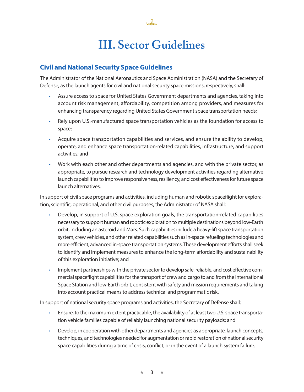### **III. Sector Guidelines**

Jc

### **Civil and National Security Space Guidelines**

The Administrator of the National Aeronautics and Space Administration (NASA) and the Secretary of Defense, as the launch agents for civil and national security space missions, respectively, shall:

- Assure access to space for United States Government departments and agencies, taking into account risk management, affordability, competition among providers, and measures for enhancing transparency regarding United States Government space transportation needs;
- Rely upon U.S.-manufactured space transportation vehicles as the foundation for access to space;
- Acquire space transportation capabilities and services, and ensure the ability to develop, operate, and enhance space transportation-related capabilities, infrastructure, and support activities; and
- Work with each other and other departments and agencies, and with the private sector, as appropriate, to pursue research and technology development activities regarding alternative launch capabilities to improve responsiveness, resiliency, and cost effectiveness for future space launch alternatives.

In support of civil space programs and activities, including human and robotic spaceflight for exploration, scientific, operational, and other civil purposes, the Administrator of NASA shall:

- Develop, in support of U.S. space exploration goals, the transportation-related capabilities necessary to support human and robotic exploration to multiple destinations beyond low-Earth orbit, including an asteroid and Mars. Such capabilities include a heavy-lift space transportation system, crew vehicles, and other related capabilities such as in-space refueling technologies and more efficient, advanced in-space transportation systems. These development efforts shall seek to identify and implement measures to enhance the long-term affordability and sustainability of this exploration initiative; and
- Implement partnerships with the private sector to develop safe, reliable, and cost effective commercial spaceflight capabilities for the transport of crew and cargo to and from the International Space Station and low-Earth orbit, consistent with safety and mission requirements and taking into account practical means to address technical and programmatic risk.

In support of national security space programs and activities, the Secretary of Defense shall:

- Ensure, to the maximum extent practicable, the availability of at least two U.S. space transportation vehicle families capable of reliably launching national security payloads; and
- Develop, in cooperation with other departments and agencies as appropriate, launch concepts, techniques, and technologies needed for augmentation or rapid restoration of national security space capabilities during a time of crisis, conflict, or in the event of a launch system failure.

★ 3 ★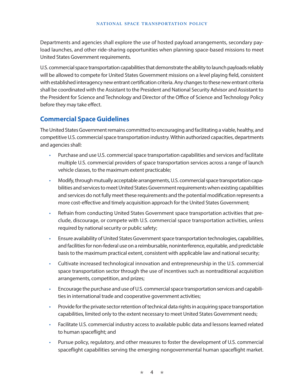Departments and agencies shall explore the use of hosted payload arrangements, secondary payload launches, and other ride-sharing opportunities when planning space-based missions to meet United States Government requirements.

U.S. commercial space transportation capabilities that demonstrate the ability to launch payloads reliably will be allowed to compete for United States Government missions on a level playing field, consistent with established interagency new entrant certification criteria. Any changes to these new entrant criteria shall be coordinated with the Assistant to the President and National Security Advisor and Assistant to the President for Science and Technology and Director of the Office of Science and Technology Policy before they may take effect.

### **Commercial Space Guidelines**

The United States Government remains committed to encouraging and facilitating a viable, healthy, and competitive U.S. commercial space transportation industry. Within authorized capacities, departments and agencies shall:

- Purchase and use U.S. commercial space transportation capabilities and services and facilitate multiple U.S. commercial providers of space transportation services across a range of launch vehicle classes, to the maximum extent practicable;
- Modify, through mutually acceptable arrangements, U.S. commercial space transportation capabilities and services to meet United States Government requirements when existing capabilities and services do not fully meet these requirements and the potential modification represents a more cost-effective and timely acquisition approach for the United States Government;
- Refrain from conducting United States Government space transportation activities that preclude, discourage, or compete with U.S. commercial space transportation activities, unless required by national security or public safety;
- Ensure availability of United States Government space transportation technologies, capabilities, and facilities for non-federal use on a reimbursable, noninterference, equitable, and predictable basis to the maximum practical extent, consistent with applicable law and national security;
- Cultivate increased technological innovation and entrepreneurship in the U.S. commercial space transportation sector through the use of incentives such as nontraditional acquisition arrangements, competition, and prizes;
- Encourage the purchase and use of U.S. commercial space transportation services and capabilities in international trade and cooperative government activities;
- Provide for the private sector retention of technical data rights in acquiring space transportation capabilities, limited only to the extent necessary to meet United States Government needs;
- Facilitate U.S. commercial industry access to available public data and lessons learned related to human spaceflight; and
- Pursue policy, regulatory, and other measures to foster the development of U.S. commercial spaceflight capabilities serving the emerging nongovernmental human spaceflight market.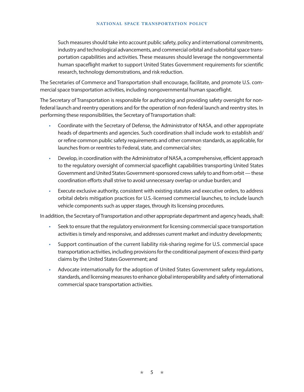#### **NATIONAL SPACE TRANSPORTATION POLICY**

Such measures should take into account public safety, policy and international commitments, industry and technological advancements, and commercial orbital and suborbital space transportation capabilities and activities. These measures should leverage the nongovernmental human spaceflight market to support United States Government requirements for scientific research, technology demonstrations, and risk reduction.

The Secretaries of Commerce and Transportation shall encourage, facilitate, and promote U.S. commercial space transportation activities, including nongovernmental human spaceflight.

The Secretary of Transportation is responsible for authorizing and providing safety oversight for nonfederal launch and reentry operations and for the operation of non-federal launch and reentry sites. In performing these responsibilities, the Secretary of Transportation shall:

- Coordinate with the Secretary of Defense, the Administrator of NASA, and other appropriate heads of departments and agencies. Such coordination shall include work to establish and/ or refine common public safety requirements and other common standards, as applicable, for launches from or reentries to Federal, state, and commercial sites;
- Develop, in coordination with the Administrator of NASA, a comprehensive, efficient approach to the regulatory oversight of commercial spaceflight capabilities transporting United States Government and United States Government-sponsored crews safely to and from orbit—these coordination efforts shall strive to avoid unnecessary overlap or undue burden; and
- Execute exclusive authority, consistent with existing statutes and executive orders, to address orbital debris mitigation practices for U.S.-licensed commercial launches, to include launch vehicle components such as upper stages, through its licensing procedures.

In addition, the Secretary of Transportation and other appropriate department and agency heads, shall:

- Seek to ensure that the regulatory environment for licensing commercial space transportation activities is timely and responsive, and addresses current market and industry developments;
- Support continuation of the current liability risk-sharing regime for U.S. commercial space transportation activities, including provisions for the conditional payment of excess third-party claims by the United States Government; and
- Advocate internationally for the adoption of United States Government safety regulations, standards, and licensing measures to enhance global interoperability and safety of international commercial space transportation activities.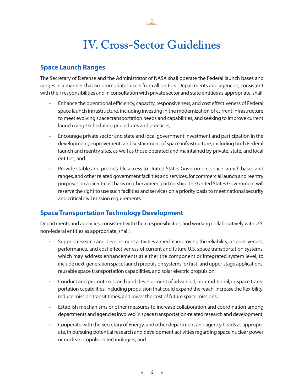### **IV. Cross-Sector Guidelines**

John

### **Space Launch Ranges**

The Secretary of Defense and the Administrator of NASA shall operate the Federal launch bases and ranges in a manner that accommodates users from all sectors. Departments and agencies, consistent with their responsibilities and in consultation with private sector and state entities as appropriate, shall:

- Enhance the operational efficiency, capacity, responsiveness, and cost effectiveness of Federal space launch infrastructure, including investing in the modernization of current infrastructure to meet evolving space transportation needs and capabilities, and seeking to improve current launch range scheduling procedures and practices;
- Encourage private sector and state and local government investment and participation in the development, improvement, and sustainment of space infrastructure, including both Federal launch and reentry sites, as well as those operated and maintained by private, state, and local entities; and
- Provide stable and predictable access to United States Government space launch bases and ranges, and other related government facilities and services, for commercial launch and reentry purposes on a direct-cost basis or other agreed partnership. The United States Government will reserve the right to use such facilities and services on a priority basis to meet national security and critical civil mission requirements.

### **Space Transportation Technology Development**

Departments and agencies, consistent with their responsibilities, and working collaboratively with U.S. non-federal entities as appropriate, shall:

- Support research and development activities aimed at improving the reliability, responsiveness, performance, and cost effectiveness of current and future U.S. space transportation systems, which may address enhancements at either the component or integrated system level, to include next-generation space launch propulsion systems for first- and upper-stage applications, reusable space transportation capabilities, and solar electric propulsion;
- Conduct and promote research and development of advanced, nontraditional, in-space transportation capabilities, including propulsion that could expand the reach, increase the flexibility, reduce mission transit times, and lower the cost of future space missions;
- Establish mechanisms or other measures to increase collaboration and coordination among departments and agencies involved in space transportation-related research and development;
- Cooperate with the Secretary of Energy, and other department and agency heads as appropriate, in pursuing potential research and development activities regarding space nuclear power or nuclear propulsion technologies; and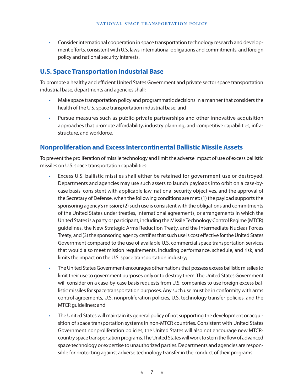• Consider international cooperation in space transportation technology research and development efforts, consistent with U.S. laws, international obligations and commitments, and foreign policy and national security interests.

#### **U.S. Space Transportation Industrial Base**

To promote a healthy and efficient United States Government and private sector space transportation industrial base, departments and agencies shall:

- Make space transportation policy and programmatic decisions in a manner that considers the health of the U.S. space transportation industrial base; and
- Pursue measures such as public-private partnerships and other innovative acquisition approaches that promote affordability, industry planning, and competitive capabilities, infrastructure, and workforce.

#### **Nonproliferation and Excess Intercontinental Ballistic Missile Assets**

To prevent the proliferation of missile technology and limit the adverse impact of use of excess ballistic missiles on U.S. space transportation capabilities:

- Excess U.S. ballistic missiles shall either be retained for government use or destroyed. Departments and agencies may use such assets to launch payloads into orbit on a case-bycase basis, consistent with applicable law, national security objectives, and the approval of the Secretary of Defense, when the following conditions are met: (1) the payload supports the sponsoring agency's mission; (2) such use is consistent with the obligations and commitments of the United States under treaties, international agreements, or arrangements in which the United States is a party or participant, including the Missile Technology Control Regime (MTCR) guidelines, the New Strategic Arms Reduction Treaty, and the Intermediate Nuclear Forces Treaty; and (3) the sponsoring agency certifies that such use is cost effective for the United States Government compared to the use of available U.S. commercial space transportation services that would also meet mission requirements, including performance, schedule, and risk, and limits the impact on the U.S. space transportation industry;
- The United States Government encourages other nations that possess excess ballistic missiles to limit their use to government purposes only or to destroy them. The United States Government will consider on a case-by-case basis requests from U.S. companies to use foreign excess ballistic missiles for space transportation purposes. Any such use must be in conformity with arms control agreements, U.S. nonproliferation policies, U.S. technology transfer policies, and the MTCR guidelines; and
- The United States will maintain its general policy of not supporting the development or acquisition of space transportation systems in non-MTCR countries. Consistent with United States Government nonproliferation policies, the United States will also not encourage new MTCRcountry space transportation programs. The United States will work to stem the flow of advanced space technology or expertise to unauthorized parties. Departments and agencies are responsible for protecting against adverse technology transfer in the conduct of their programs.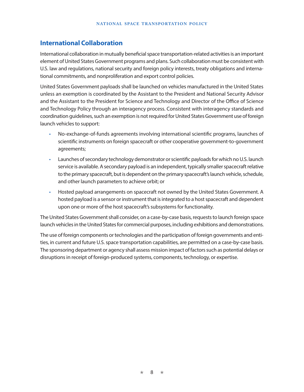#### **International Collaboration**

International collaboration in mutually beneficial space transportation-related activities is an important element of United States Government programs and plans. Such collaboration must be consistent with U.S. law and regulations, national security and foreign policy interests, treaty obligations and international commitments, and nonproliferation and export control policies.

United States Government payloads shall be launched on vehicles manufactured in the United States unless an exemption is coordinated by the Assistant to the President and National Security Advisor and the Assistant to the President for Science and Technology and Director of the Office of Science and Technology Policy through an interagency process. Consistent with interagency standards and coordination guidelines, such an exemption is not required for United States Government use of foreign launch vehicles to support:

- No-exchange-of-funds agreements involving international scientific programs, launches of scientific instruments on foreign spacecraft or other cooperative government-to-government agreements;
- Launches of secondary technology demonstrator or scientific payloads for which no U.S. launch service is available. A secondary payload is an independent, typically smaller spacecraft relative to the primary spacecraft, but is dependent on the primary spacecraft's launch vehicle, schedule, and other launch parameters to achieve orbit; or
- Hosted payload arrangements on spacecraft not owned by the United States Government. A hosted payload is a sensor or instrument that is integrated to a host spacecraft and dependent upon one or more of the host spacecraft's subsystems for functionality.

The United States Government shall consider, on a case-by-case basis, requests to launch foreign space launch vehicles in the United States for commercial purposes, including exhibitions and demonstrations.

The use of foreign components or technologies and the participation of foreign governments and entities, in current and future U.S. space transportation capabilities, are permitted on a case-by-case basis. The sponsoring department or agency shall assess mission impact of factors such as potential delays or disruptions in receipt of foreign-produced systems, components, technology, or expertise.